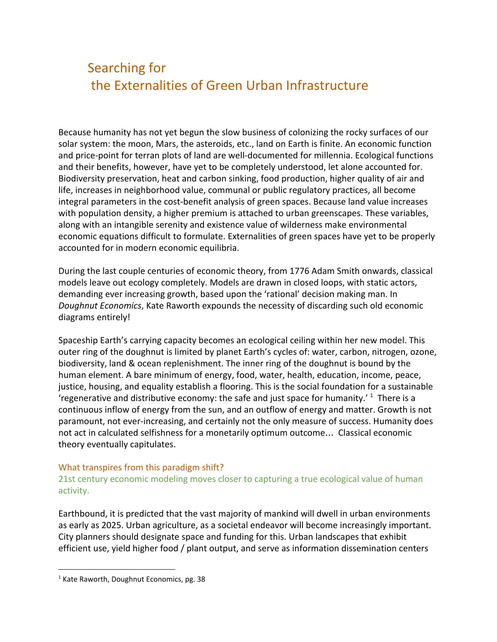## Searching for the Externalities of Green Urban Infrastructure

Because humanity has not yet begun the slow business of colonizing the rocky surfaces of our solar system: the moon, Mars, the asteroids, etc., land on Earth is finite. An economic function and price-point for terran plots of land are well-documented for millennia. Ecological functions and their benefits, however, have yet to be completely understood, let alone accounted for. Biodiversity preservation, heat and carbon sinking, food production, higher quality of air and life, increases in neighborhood value, communal or public regulatory practices, all become integral parameters in the cost-benefit analysis of green spaces. Because land value increases with population density, a higher premium is attached to urban greenscapes. These variables, along with an intangible serenity and existence value of wilderness make environmental economic equations difficult to formulate. Externalities of green spaces have yet to be properly accounted for in modern economic equilibria.

During the last couple centuries of economic theory, from 1776 Adam Smith onwards, classical models leave out ecology completely. Models are drawn in closed loops, with static actors, demanding ever increasing growth, based upon the 'rational' decision making man. In *Doughnut Economics*, Kate Raworth expounds the necessity of discarding such old economic diagrams entirely!

Spaceship Earth's carrying capacity becomes an ecological ceiling within her new model. This outer ring of the doughnut is limited by planet Earth's cycles of: water, carbon, nitrogen, ozone, biodiversity, land & ocean replenishment. The inner ring of the doughnut is bound by the human element. A bare minimum of energy, food, water, health, education, income, peace, justice, housing, and equality establish a flooring. This is the social foundation for a sustainable 'regenerative and distributive economy: the safe and just space for humanity.'  $^1$  There is a continuous inflow of energy from the sun, and an outflow of energy and matter. Growth is not paramount, not ever-increasing, and certainly not the only measure of success. Humanity does not act in calculated selfishness for a monetarily optimum outcome… Classical economic theory eventually capitulates.

## What transpires from this paradigm shift?

21st century economic modeling moves closer to capturing a true ecological value of human activity.

Earthbound, it is predicted that the vast majority of mankind will dwell in urban environments as early as 2025. Urban agriculture, as a societal endeavor will become increasingly important. City planners should designate space and funding for this. Urban landscapes that exhibit efficient use, yield higher food / plant output, and serve as information dissemination centers

<sup>&</sup>lt;sup>1</sup> Kate Raworth, Doughnut Economics, pg. 38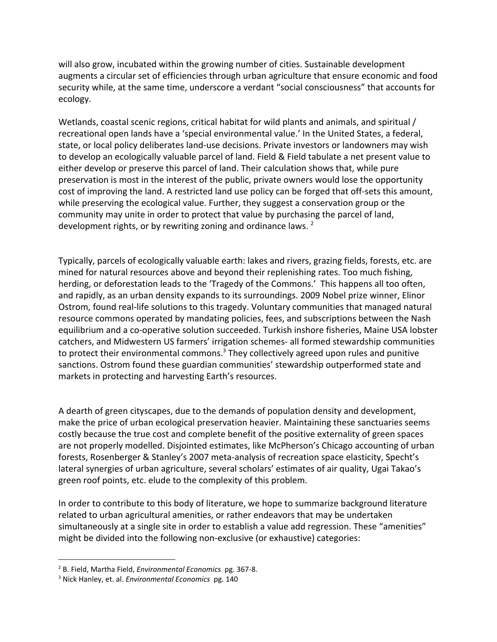will also grow, incubated within the growing number of cities. Sustainable development augments a circular set of efficiencies through urban agriculture that ensure economic and food security while, at the same time, underscore a verdant "social consciousness" that accounts for ecology.

Wetlands, coastal scenic regions, critical habitat for wild plants and animals, and spiritual / recreational open lands have a 'special environmental value.' In the United States, a federal, state, or local policy deliberates land-use decisions. Private investors or landowners may wish to develop an ecologically valuable parcel of land. Field & Field tabulate a net present value to either develop or preserve this parcel of land. Their calculation shows that, while pure preservation is most in the interest of the public, private owners would lose the opportunity cost of improving the land. A restricted land use policy can be forged that off-sets this amount, while preserving the ecological value. Further, they suggest a conservation group or the community may unite in order to protect that value by purchasing the parcel of land, development rights, or by rewriting zoning and ordinance laws.<sup>2</sup>

Typically, parcels of ecologically valuable earth: lakes and rivers, grazing fields, forests, etc. are mined for natural resources above and beyond their replenishing rates. Too much fishing, herding, or deforestation leads to the 'Tragedy of the Commons.' This happens all too often, and rapidly, as an urban density expands to its surroundings. 2009 Nobel prize winner, Elinor Ostrom, found real-life solutions to this tragedy. Voluntary communities that managed natural resource commons operated by mandating policies, fees, and subscriptions between the Nash equilibrium and a co-operative solution succeeded. Turkish inshore fisheries, Maine USA lobster catchers, and Midwestern US farmers' irrigation schemes- all formed stewardship communities to protect their environmental commons.<sup>3</sup> They collectively agreed upon rules and punitive sanctions. Ostrom found these guardian communities' stewardship outperformed state and markets in protecting and harvesting Earth's resources.

A dearth of green cityscapes, due to the demands of population density and development, make the price of urban ecological preservation heavier. Maintaining these sanctuaries seems costly because the true cost and complete benefit of the positive externality of green spaces are not properly modelled. Disjointed estimates, like McPherson's Chicago accounting of urban forests, Rosenberger & Stanley's 2007 meta-analysis of recreation space elasticity, Specht's lateral synergies of urban agriculture, several scholars' estimates of air quality, Ugai Takao's green roof points, etc. elude to the complexity of this problem.

In order to contribute to this body of literature, we hope to summarize background literature related to urban agricultural amenities, or rather endeavors that may be undertaken simultaneously at a single site in order to establish a value add regression. These "amenities" might be divided into the following non-exclusive (or exhaustive) categories:

<sup>2</sup> B. Field, Martha Field, *Environmental Economics* pg. 367-8.

<sup>3</sup> Nick Hanley, et. al. *Environmental Economics* pg. 140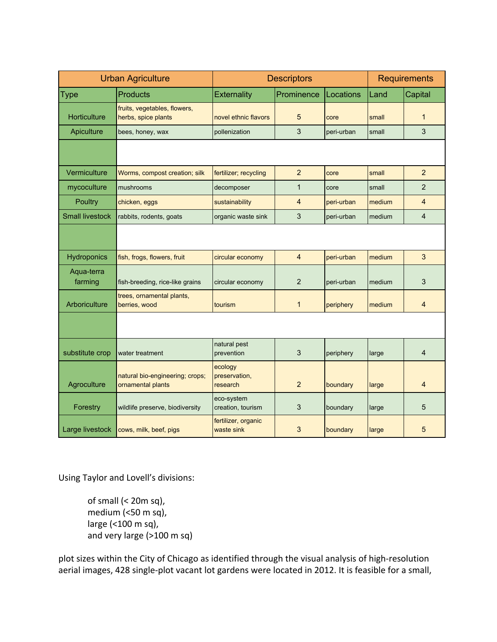| <b>Urban Agriculture</b> |                                                      | <b>Descriptors</b>                   |                |            | <b>Requirements</b> |                |
|--------------------------|------------------------------------------------------|--------------------------------------|----------------|------------|---------------------|----------------|
| <b>Type</b>              | <b>Products</b>                                      | <b>Externality</b>                   | Prominence     | Locations  | Land                | Capital        |
| Horticulture             | fruits, vegetables, flowers,<br>herbs, spice plants  | novel ethnic flavors                 | 5              | core       | small               | $\mathbf{1}$   |
| Apiculture               | bees, honey, wax                                     | pollenization                        | 3              | peri-urban | small               | 3              |
|                          |                                                      |                                      |                |            |                     |                |
| Vermiculture             | Worms, compost creation; silk                        | fertilizer; recycling                | $\overline{2}$ | core       | small               | $\overline{2}$ |
| mycoculture              | mushrooms                                            | decomposer                           | $\mathbf{1}$   | core       | small               | $\overline{2}$ |
| Poultry                  | chicken, eggs                                        | sustainability                       | $\overline{4}$ | peri-urban | medium              | 4              |
| <b>Small livestock</b>   | rabbits, rodents, goats                              | organic waste sink                   | 3              | peri-urban | medium              | 4              |
|                          |                                                      |                                      |                |            |                     |                |
| Hydroponics              | fish, frogs, flowers, fruit                          | circular economy                     | $\overline{4}$ | peri-urban | medium              | 3              |
| Aqua-terra<br>farming    | fish-breeding, rice-like grains                      | circular economy                     | 2              | peri-urban | medium              | 3              |
| Arboriculture            | trees, ornamental plants,<br>berries, wood           | tourism                              | $\mathbf{1}$   | periphery  | medium              | 4              |
|                          |                                                      |                                      |                |            |                     |                |
| substitute crop          | water treatment                                      | natural pest<br>prevention           | 3              | periphery  | large               | 4              |
| Agroculture              | natural bio-engineering; crops;<br>ornamental plants | ecology<br>preservation,<br>research | $\overline{2}$ | boundary   | large               | 4              |
| Forestry                 | wildlife preserve, biodiversity                      | eco-system<br>creation, tourism      | 3              | boundary   | large               | 5              |
| Large livestock          | cows, milk, beef, pigs                               | fertilizer, organic<br>waste sink    | 3              | boundary   | large               | 5              |

Using Taylor and Lovell's divisions:

of small (< 20m sq), medium (<50 m sq), large (<100 m sq), and very large (>100 m sq)

plot sizes within the City of Chicago as identified through the visual analysis of high-resolution aerial images, 428 single-plot vacant lot gardens were located in 2012. It is feasible for a small,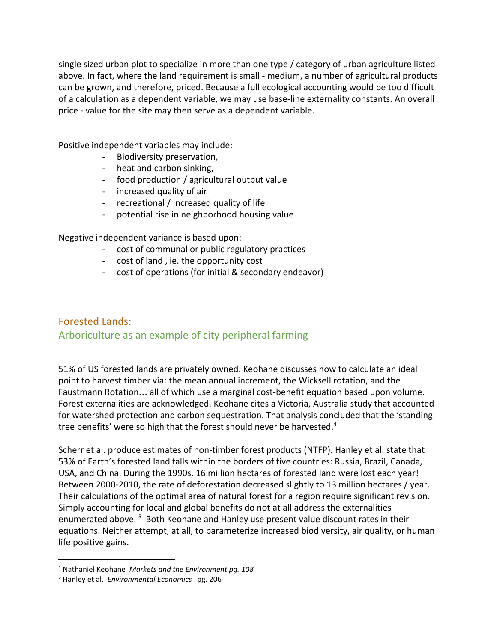single sized urban plot to specialize in more than one type / category of urban agriculture listed above. In fact, where the land requirement is small - medium, a number of agricultural products can be grown, and therefore, priced. Because a full ecological accounting would be too difficult of a calculation as a dependent variable, we may use base-line externality constants. An overall price - value for the site may then serve as a dependent variable.

Positive independent variables may include:

- Biodiversity preservation,
- heat and carbon sinking,
- food production / agricultural output value
- increased quality of air
- recreational / increased quality of life
- potential rise in neighborhood housing value

Negative independent variance is based upon:

- cost of communal or public regulatory practices
- cost of land , ie. the opportunity cost
- cost of operations (for initial & secondary endeavor)

## Forested Lands: Arboriculture as an example of city peripheral farming

51% of US forested lands are privately owned. Keohane discusses how to calculate an ideal point to harvest timber via: the mean annual increment, the Wicksell rotation, and the Faustmann Rotation… all of which use a marginal cost-benefit equation based upon volume. Forest externalities are acknowledged. Keohane cites a Victoria, Australia study that accounted for watershed protection and carbon sequestration. That analysis concluded that the 'standing tree benefits' were so high that the forest should never be harvested.<sup>4</sup>

Scherr et al. produce estimates of non-timber forest products (NTFP). Hanley et al. state that 53% of Earth's forested land falls within the borders of five countries: Russia, Brazil, Canada, USA, and China. During the 1990s, 16 million hectares of forested land were lost each year! Between 2000-2010, the rate of deforestation decreased slightly to 13 million hectares / year. Their calculations of the optimal area of natural forest for a region require significant revision. Simply accounting for local and global benefits do not at all address the externalities enumerated above.<sup>5</sup> Both Keohane and Hanley use present value discount rates in their equations. Neither attempt, at all, to parameterize increased biodiversity, air quality, or human life positive gains.

<sup>4</sup> Nathaniel Keohane *Markets and the Environment pg. 108*

<sup>5</sup> Hanley et al. *Environmental Economics* pg. 206